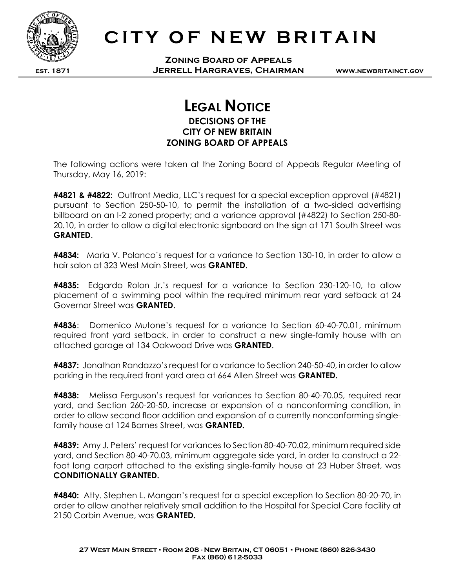

est. 1871

## CITY OF NEW BRITAIN

Zoning Board of Appeals Jerrell Hargraves, Chairman

www.newbritainct.gov

## LEGAL NOTICE DECISIONS OF THE CITY OF NEW BRITAIN ZONING BOARD OF APPEALS

The following actions were taken at the Zoning Board of Appeals Regular Meeting of Thursday, May 16, 2019:

#4821 & #4822: Outfront Media, LLC's request for a special exception approval (#4821) pursuant to Section 250-50-10, to permit the installation of a two-sided advertising billboard on an I-2 zoned property; and a variance approval (#4822) to Section 250-80- 20.10, in order to allow a digital electronic signboard on the sign at 171 South Street was GRANTED.

**#4834:** Maria V. Polanco's request for a variance to Section 130-10, in order to allow a hair salon at 323 West Main Street, was GRANTED.

#4835: Edgardo Rolon Jr.'s request for a variance to Section 230-120-10, to allow placement of a swimming pool within the required minimum rear yard setback at 24 Governor Street was GRANTED.

#4836: Domenico Mutone's request for a variance to Section 60-40-70.01, minimum required front yard setback, in order to construct a new single-family house with an attached garage at 134 Oakwood Drive was GRANTED.

#4837: Jonathan Randazzo's request for a variance to Section 240-50-40, in order to allow parking in the required front yard area at 664 Allen Street was GRANTED.

**#4838:** Melissa Ferguson's request for variances to Section 80-40-70.05, required rear yard, and Section 260-20-50, increase or expansion of a nonconforming condition, in order to allow second floor addition and expansion of a currently nonconforming singlefamily house at 124 Barnes Street, was **GRANTED.** 

#4839: Amy J. Peters' request for variances to Section 80-40-70.02, minimum required side yard, and Section 80-40-70.03, minimum aggregate side yard, in order to construct a 22 foot long carport attached to the existing single-family house at 23 Huber Street, was CONDITIONALLY GRANTED.

#4840: Atty. Stephen L. Mangan's request for a special exception to Section 80-20-70, in order to allow another relatively small addition to the Hospital for Special Care facility at 2150 Corbin Avenue, was GRANTED.